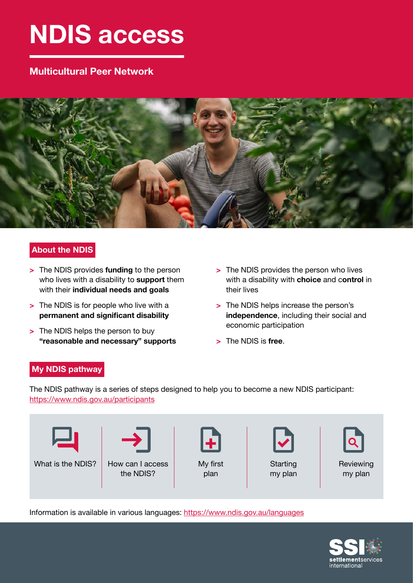# **NDIS access**

# **Multicultural Peer Network**



# **About the NDIS**

- **>** The NDIS provides **funding** to the person who lives with a disability to **support** them with their **individual needs and goals**
- **>** The NDIS is for people who live with a **permanent and significant disability**
- **>** The NDIS helps the person to buy **"reasonable and necessary" supports**
- **>** The NDIS provides the person who lives with a disability with **choice** and c**ontrol** in their lives
- **>** The NDIS helps increase the person's **independence**, including their social and economic participation
- **>** The NDIS is **free**.

# **My NDIS pathway**

The NDIS pathway is a series of steps designed to help you to become a new NDIS participant: <https://www.ndis.gov.au/participants>



Information is available in various languages: [https://www.ndis.gov.au/languages](https://www.ndis.gov.au/languages
)

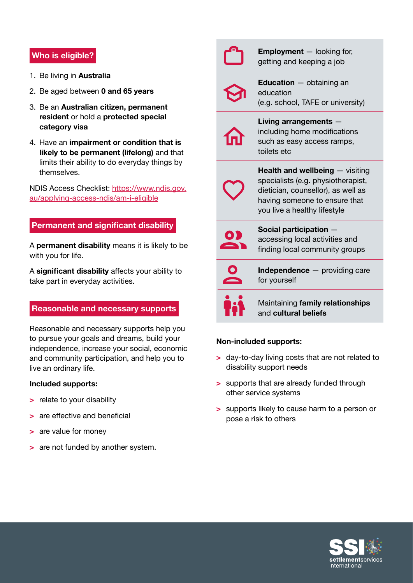## **Who is eligible?**

- 1. Be living in **Australia**
- 2. Be aged between **0 and 65 years**
- 3. Be an **Australian citizen, permanent resident** or hold a **protected special category visa**
- 4. Have an **impairment or condition that is likely to be permanent (lifelong)** and that limits their ability to do everyday things by themselves.

NDIS Access Checklist: [https://www.ndis.gov.](https://www.ndis.gov.au/applying-access-ndis/am-i-eligible) [au/applying-access-ndis/am-i-eligible](https://www.ndis.gov.au/applying-access-ndis/am-i-eligible)

## **Permanent and significant disability**

A **permanent disability** means it is likely to be with you for life.

A **significant disability** affects your ability to take part in everyday activities.

#### **Reasonable and necessary supports**

Reasonable and necessary supports help you to pursue your goals and dreams, build your independence, increase your social, economic and community participation, and help you to live an ordinary life.

#### **Included supports:**

- **>** relate to your disability
- **>** are effective and beneficial
- **>** are value for money
- **>** are not funded by another system.

|   | <b>Employment</b> - looking for,<br>getting and keeping a job                                                                                                                                    |
|---|--------------------------------------------------------------------------------------------------------------------------------------------------------------------------------------------------|
|   | <b>Education</b> - obtaining an<br>education<br>(e.g. school, TAFE or university)                                                                                                                |
| 仙 | Living arrangements -<br>including home modifications<br>such as easy access ramps,<br>toilets etc                                                                                               |
|   | <b>Health and wellbeing <math>-</math> visiting</b><br>specialists (e.g. physiotherapist,<br>dietician, counsellor), as well as<br>having someone to ensure that<br>you live a healthy lifestyle |
|   | Social participation -<br>accessing local activities and<br>finding local community groups                                                                                                       |
|   | <b>Independence</b> – providing care<br>for yourself                                                                                                                                             |
|   | Maintaining family relationships<br>and cultural beliefs                                                                                                                                         |

#### **Non-included supports:**

- **>** day-to-day living costs that are not related to disability support needs
- **>** supports that are already funded through other service systems
- **>** supports likely to cause harm to a person or pose a risk to others